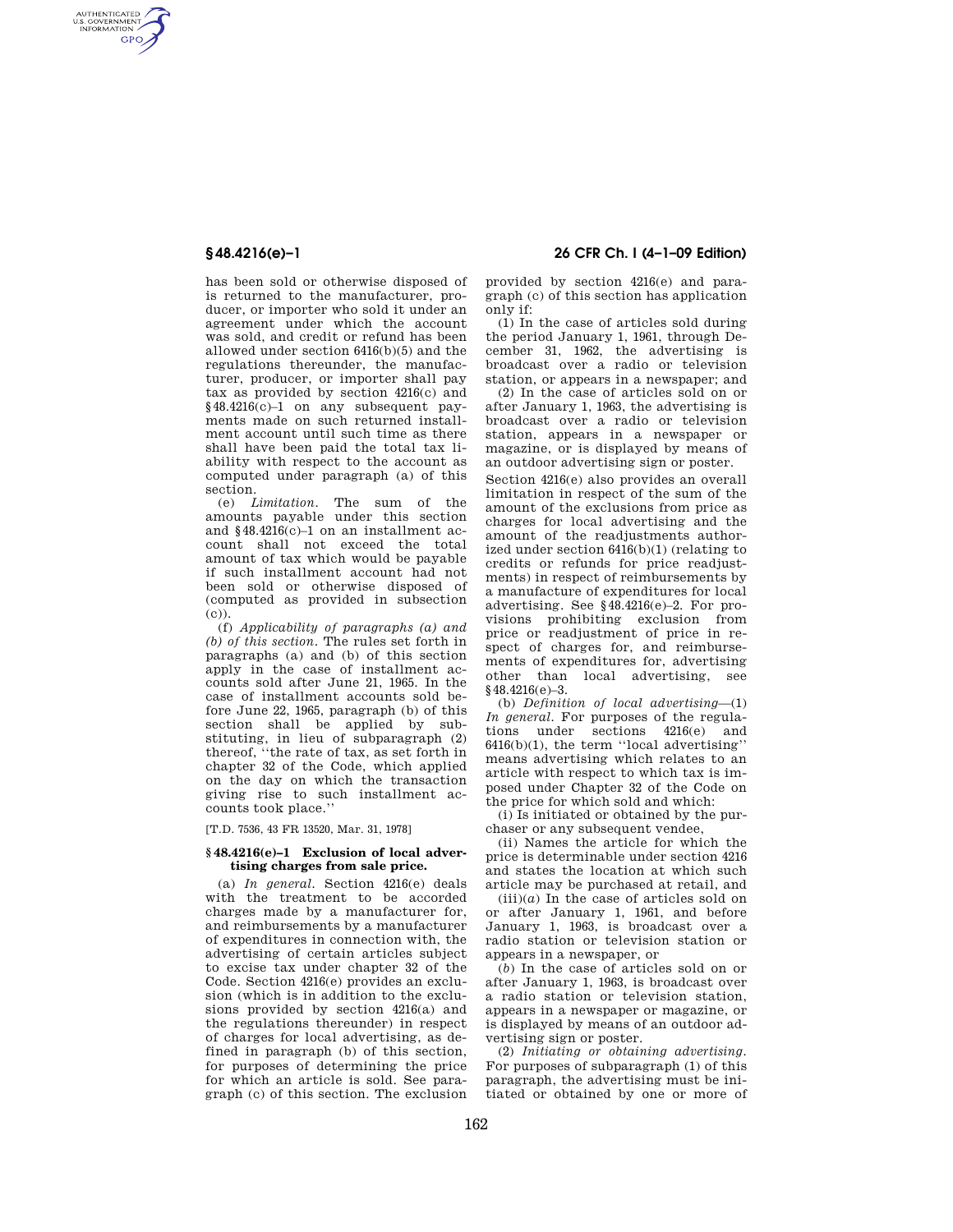AUTHENTICATED<br>U.S. GOVERNMENT<br>INFORMATION **GPO** 

> has been sold or otherwise disposed of is returned to the manufacturer, producer, or importer who sold it under an agreement under which the account was sold, and credit or refund has been allowed under section 6416(b)(5) and the regulations thereunder, the manufacturer, producer, or importer shall pay tax as provided by section 4216(c) and §48.4216(c)–1 on any subsequent payments made on such returned installment account until such time as there shall have been paid the total tax liability with respect to the account as computed under paragraph (a) of this section.

> (e) *Limitation.* The sum of the amounts payable under this section and §48.4216(c)–1 on an installment account shall not exceed the total amount of tax which would be payable if such installment account had not been sold or otherwise disposed of (computed as provided in subsection  $(c)$ ).

> (f) *Applicability of paragraphs (a) and (b) of this section.* The rules set forth in paragraphs (a) and (b) of this section apply in the case of installment accounts sold after June 21, 1965. In the case of installment accounts sold before June 22, 1965, paragraph (b) of this section shall be applied by substituting, in lieu of subparagraph (2) thereof, ''the rate of tax, as set forth in chapter 32 of the Code, which applied on the day on which the transaction giving rise to such installment accounts took place.''

[T.D. 7536, 43 FR 13520, Mar. 31, 1978]

### **§ 48.4216(e)–1 Exclusion of local advertising charges from sale price.**

(a) *In general.* Section 4216(e) deals with the treatment to be accorded charges made by a manufacturer for, and reimbursements by a manufacturer of expenditures in connection with, the advertising of certain articles subject to excise tax under chapter 32 of the Code. Section 4216(e) provides an exclusion (which is in addition to the exclusions provided by section 4216(a) and the regulations thereunder) in respect of charges for local advertising, as defined in paragraph (b) of this section, for purposes of determining the price for which an article is sold. See paragraph (c) of this section. The exclusion

# **§ 48.4216(e)–1 26 CFR Ch. I (4–1–09 Edition)**

provided by section 4216(e) and paragraph (c) of this section has application only if:

(1) In the case of articles sold during the period January 1, 1961, through December 31, 1962, the advertising is broadcast over a radio or television station, or appears in a newspaper; and

(2) In the case of articles sold on or after January 1, 1963, the advertising is broadcast over a radio or television station, appears in a newspaper or magazine, or is displayed by means of an outdoor advertising sign or poster.

Section 4216(e) also provides an overall limitation in respect of the sum of the amount of the exclusions from price as charges for local advertising and the amount of the readjustments authorized under section 6416(b)(1) (relating to credits or refunds for price readjustments) in respect of reimbursements by a manufacture of expenditures for local advertising. See §48.4216(e)–2. For provisions prohibiting exclusion from price or readjustment of price in respect of charges for, and reimbursements of expenditures for, advertising other than local advertising, see §48.4216(e)-3.

(b) *Definition of local advertising*—(1) *In general.* For purposes of the regulations under sections 4216(e) and 6416(b)(1), the term ''local advertising'' means advertising which relates to an article with respect to which tax is imposed under Chapter 32 of the Code on the price for which sold and which:

(i) Is initiated or obtained by the purchaser or any subsequent vendee,

(ii) Names the article for which the price is determinable under section 4216 and states the location at which such article may be purchased at retail, and

 $(iii)(a)$  In the case of articles sold on or after January 1, 1961, and before January 1, 1963, is broadcast over a radio station or television station or appears in a newspaper, or

(*b*) In the case of articles sold on or after January 1, 1963, is broadcast over a radio station or television station, appears in a newspaper or magazine, or is displayed by means of an outdoor advertising sign or poster.

(2) *Initiating or obtaining advertising.*  For purposes of subparagraph (1) of this paragraph, the advertising must be initiated or obtained by one or more of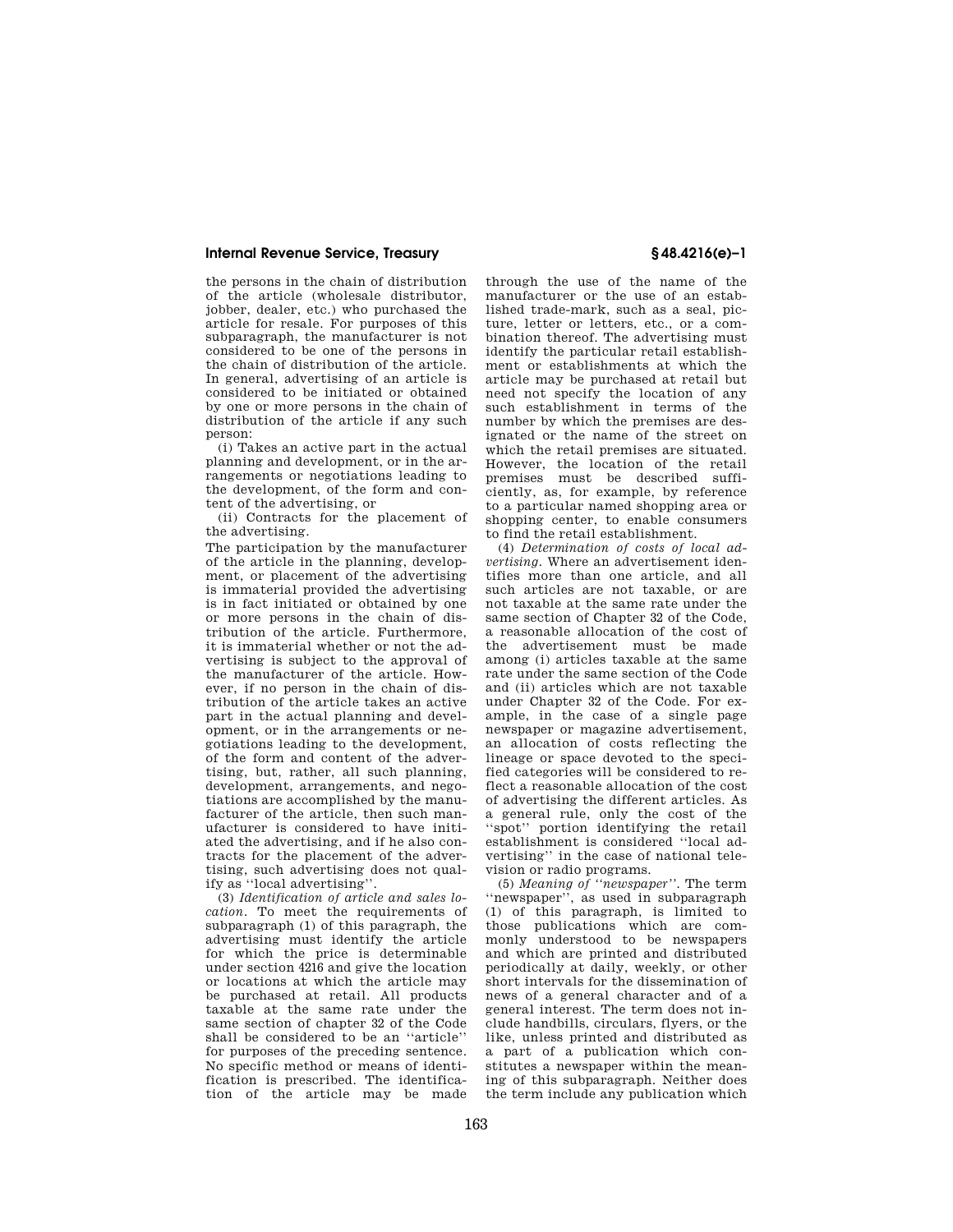## **Internal Revenue Service, Treasury § 48.4216(e)–1**

the persons in the chain of distribution of the article (wholesale distributor, jobber, dealer, etc.) who purchased the article for resale. For purposes of this subparagraph, the manufacturer is not considered to be one of the persons in the chain of distribution of the article. In general, advertising of an article is considered to be initiated or obtained by one or more persons in the chain of distribution of the article if any such person:

(i) Takes an active part in the actual planning and development, or in the arrangements or negotiations leading to the development, of the form and content of the advertising, or

(ii) Contracts for the placement of the advertising.

The participation by the manufacturer of the article in the planning, development, or placement of the advertising is immaterial provided the advertising is in fact initiated or obtained by one or more persons in the chain of distribution of the article. Furthermore, it is immaterial whether or not the advertising is subject to the approval of the manufacturer of the article. However, if no person in the chain of distribution of the article takes an active part in the actual planning and development, or in the arrangements or negotiations leading to the development, of the form and content of the advertising, but, rather, all such planning, development, arrangements, and negotiations are accomplished by the manufacturer of the article, then such manufacturer is considered to have initiated the advertising, and if he also contracts for the placement of the advertising, such advertising does not qualify as ''local advertising''.

(3) *Identification of article and sales location.* To meet the requirements of subparagraph (1) of this paragraph, the advertising must identify the article for which the price is determinable under section 4216 and give the location or locations at which the article may be purchased at retail. All products taxable at the same rate under the same section of chapter 32 of the Code shall be considered to be an ''article'' for purposes of the preceding sentence. No specific method or means of identification is prescribed. The identification of the article may be made

through the use of the name of the manufacturer or the use of an established trade-mark, such as a seal, picture, letter or letters, etc., or a combination thereof. The advertising must identify the particular retail establishment or establishments at which the article may be purchased at retail but need not specify the location of any such establishment in terms of the number by which the premises are designated or the name of the street on which the retail premises are situated. However, the location of the retail premises must be described sufficiently, as, for example, by reference to a particular named shopping area or shopping center, to enable consumers to find the retail establishment.

(4) *Determination of costs of local advertising.* Where an advertisement identifies more than one article, and all such articles are not taxable, or are not taxable at the same rate under the same section of Chapter 32 of the Code, a reasonable allocation of the cost of the advertisement must be made among (i) articles taxable at the same rate under the same section of the Code and (ii) articles which are not taxable under Chapter 32 of the Code. For example, in the case of a single page newspaper or magazine advertisement, an allocation of costs reflecting the lineage or space devoted to the specified categories will be considered to reflect a reasonable allocation of the cost of advertising the different articles. As a general rule, only the cost of the ''spot'' portion identifying the retail establishment is considered ''local advertising'' in the case of national television or radio programs.

(5) *Meaning of ''newspaper''.* The term ''newspaper'', as used in subparagraph (1) of this paragraph, is limited to those publications which are commonly understood to be newspapers and which are printed and distributed periodically at daily, weekly, or other short intervals for the dissemination of news of a general character and of a general interest. The term does not include handbills, circulars, flyers, or the like, unless printed and distributed as a part of a publication which constitutes a newspaper within the meaning of this subparagraph. Neither does the term include any publication which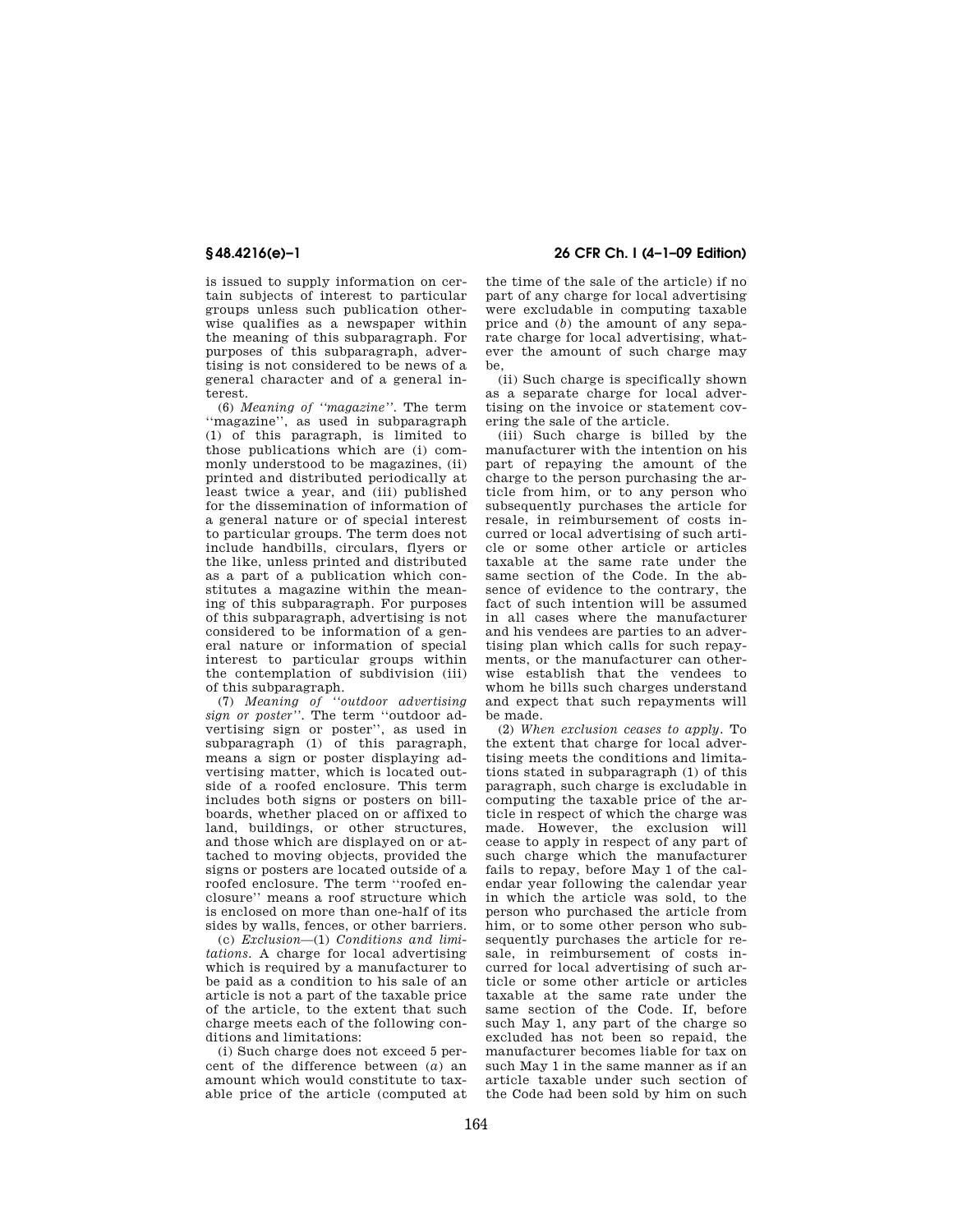is issued to supply information on certain subjects of interest to particular groups unless such publication otherwise qualifies as a newspaper within the meaning of this subparagraph. For purposes of this subparagraph, advertising is not considered to be news of a general character and of a general interest.

(6) *Meaning of ''magazine''.* The term ''magazine'', as used in subparagraph (1) of this paragraph, is limited to those publications which are (i) commonly understood to be magazines, (ii) printed and distributed periodically at least twice a year, and (iii) published for the dissemination of information of a general nature or of special interest to particular groups. The term does not include handbills, circulars, flyers or the like, unless printed and distributed as a part of a publication which constitutes a magazine within the meaning of this subparagraph. For purposes of this subparagraph, advertising is not considered to be information of a general nature or information of special interest to particular groups within the contemplation of subdivision (iii) of this subparagraph.

(7) *Meaning of ''outdoor advertising sign or poster''.* The term ''outdoor advertising sign or poster'', as used in subparagraph (1) of this paragraph, means a sign or poster displaying advertising matter, which is located outside of a roofed enclosure. This term includes both signs or posters on billboards, whether placed on or affixed to land, buildings, or other structures, and those which are displayed on or attached to moving objects, provided the signs or posters are located outside of a roofed enclosure. The term ''roofed enclosure'' means a roof structure which is enclosed on more than one-half of its sides by walls, fences, or other barriers.

(c) *Exclusion*—(1) *Conditions and limitations.* A charge for local advertising which is required by a manufacturer to be paid as a condition to his sale of an article is not a part of the taxable price of the article, to the extent that such charge meets each of the following conditions and limitations:

(i) Such charge does not exceed 5 percent of the difference between (*a*) an amount which would constitute to taxable price of the article (computed at

**§ 48.4216(e)–1 26 CFR Ch. I (4–1–09 Edition)** 

the time of the sale of the article) if no part of any charge for local advertising were excludable in computing taxable price and (*b*) the amount of any separate charge for local advertising, whatever the amount of such charge may be,

(ii) Such charge is specifically shown as a separate charge for local advertising on the invoice or statement covering the sale of the article.

(iii) Such charge is billed by the manufacturer with the intention on his part of repaying the amount of the charge to the person purchasing the article from him, or to any person who subsequently purchases the article for resale, in reimbursement of costs incurred or local advertising of such article or some other article or articles taxable at the same rate under the same section of the Code. In the absence of evidence to the contrary, the fact of such intention will be assumed in all cases where the manufacturer and his vendees are parties to an advertising plan which calls for such repayments, or the manufacturer can otherwise establish that the vendees to whom he bills such charges understand and expect that such repayments will be made.

(2) *When exclusion ceases to apply.* To the extent that charge for local advertising meets the conditions and limitations stated in subparagraph (1) of this paragraph, such charge is excludable in computing the taxable price of the article in respect of which the charge was made. However, the exclusion will cease to apply in respect of any part of such charge which the manufacturer fails to repay, before May 1 of the calendar year following the calendar year in which the article was sold, to the person who purchased the article from him, or to some other person who subsequently purchases the article for resale, in reimbursement of costs incurred for local advertising of such article or some other article or articles taxable at the same rate under the same section of the Code. If, before such May 1, any part of the charge so excluded has not been so repaid, the manufacturer becomes liable for tax on such May 1 in the same manner as if an article taxable under such section of the Code had been sold by him on such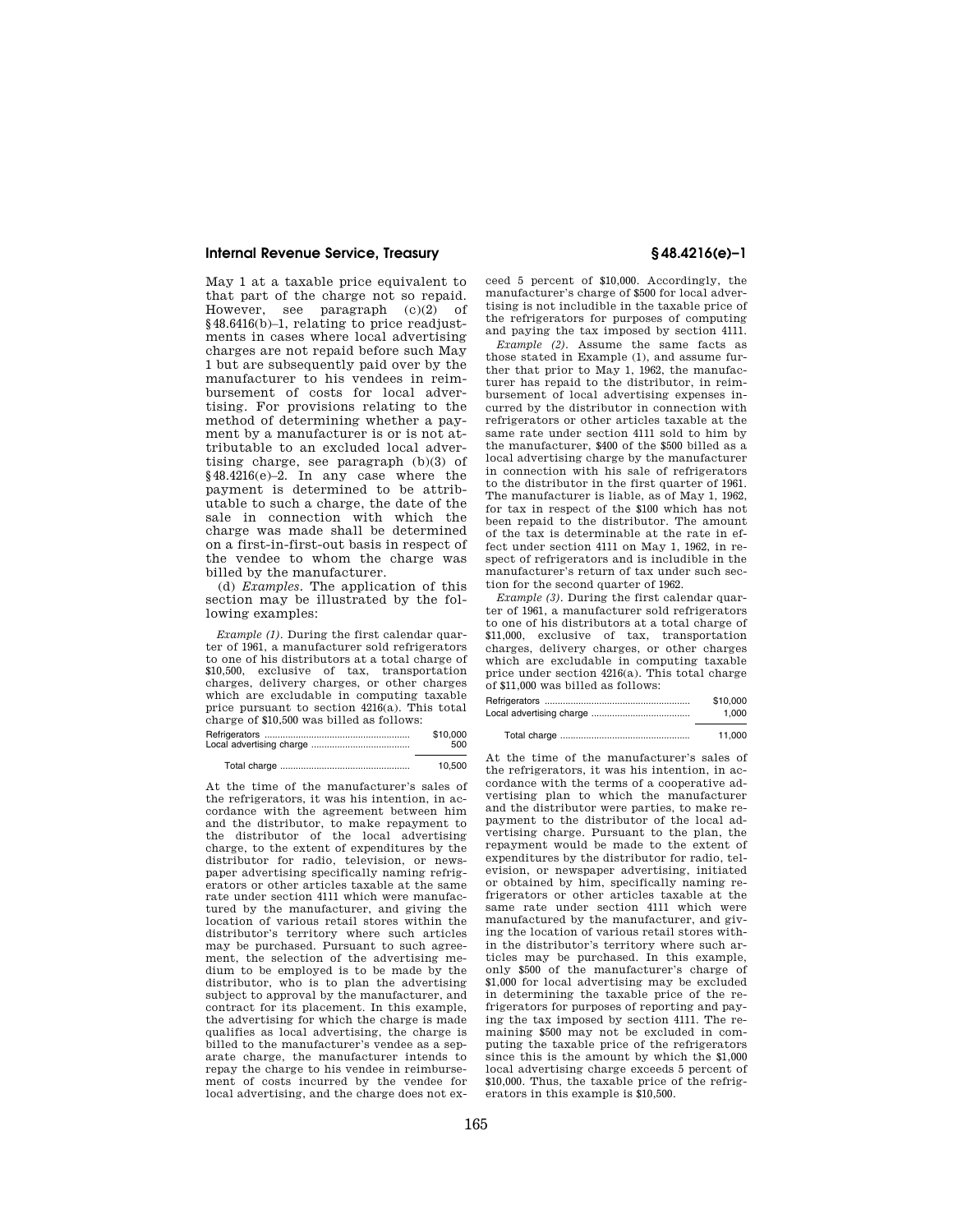### **Internal Revenue Service, Treasury § 48.4216(e)–1**

May 1 at a taxable price equivalent to that part of the charge not so repaid. However, see paragraph (c)(2) of §48.6416(b)–1, relating to price readjustments in cases where local advertising charges are not repaid before such May 1 but are subsequently paid over by the manufacturer to his vendees in reimbursement of costs for local advertising. For provisions relating to the method of determining whether a payment by a manufacturer is or is not attributable to an excluded local advertising charge, see paragraph (b)(3) of §48.4216(e)–2. In any case where the payment is determined to be attributable to such a charge, the date of the sale in connection with which the charge was made shall be determined on a first-in-first-out basis in respect of the vendee to whom the charge was billed by the manufacturer.

(d) *Examples.* The application of this section may be illustrated by the following examples:

*Example (1).* During the first calendar quarter of 1961, a manufacturer sold refrigerators to one of his distributors at a total charge of \$10,500, exclusive of tax, transportation charges, delivery charges, or other charges which are excludable in computing taxable price pursuant to section 4216(a). This total charge of \$10,500 was billed as follows: Refrigerators ........................................................ \$10,000 Local advertising charge ...........................

|  |  |  | 10.500 |
|--|--|--|--------|
|--|--|--|--------|

At the time of the manufacturer's sales of the refrigerators, it was his intention, in accordance with the agreement between him and the distributor, to make repayment to the distributor of the local advertising charge, to the extent of expenditures by the distributor for radio, television, or newspaper advertising specifically naming refrigerators or other articles taxable at the same rate under section 4111 which were manufactured by the manufacturer, and giving the location of various retail stores within the distributor's territory where such articles may be purchased. Pursuant to such agreement, the selection of the advertising medium to be employed is to be made by the distributor, who is to plan the advertising subject to approval by the manufacturer, and contract for its placement. In this example, the advertising for which the charge is made qualifies as local advertising, the charge is billed to the manufacturer's vendee as a separate charge, the manufacturer intends to repay the charge to his vendee in reimbursement of costs incurred by the vendee for local advertising, and the charge does not exceed 5 percent of \$10,000. Accordingly, the

manufacturer's charge of \$500 for local advertising is not includible in the taxable price of the refrigerators for purposes of computing and paying the tax imposed by section 4111. *Example (2).* Assume the same facts as

those stated in Example (1), and assume further that prior to May 1, 1962, the manufacturer has repaid to the distributor, in reimbursement of local advertising expenses incurred by the distributor in connection with refrigerators or other articles taxable at the same rate under section 4111 sold to him by the manufacturer, \$400 of the \$500 billed as a local advertising charge by the manufacturer in connection with his sale of refrigerators to the distributor in the first quarter of 1961. The manufacturer is liable, as of May 1, 1962, for tax in respect of the \$100 which has not been repaid to the distributor. The amount of the tax is determinable at the rate in effect under section 4111 on May 1, 1962, in respect of refrigerators and is includible in the manufacturer's return of tax under such section for the second quarter of 1962.

*Example (3).* During the first calendar quarter of 1961, a manufacturer sold refrigerators to one of his distributors at a total charge of \$11,000, exclusive of tax, transportation charges, delivery charges, or other charges which are excludable in computing taxable price under section 4216(a). This total charge of \$11,000 was billed as follows:

| \$10,000 |
|----------|
| 1.000    |
|          |

|  |  | 11.000 |
|--|--|--------|
|--|--|--------|

At the time of the manufacturer's sales of the refrigerators, it was his intention, in accordance with the terms of a cooperative advertising plan to which the manufacturer and the distributor were parties, to make repayment to the distributor of the local advertising charge. Pursuant to the plan, the repayment would be made to the extent of expenditures by the distributor for radio, television, or newspaper advertising, initiated or obtained by him, specifically naming refrigerators or other articles taxable at the same rate under section 4111 which were manufactured by the manufacturer, and giving the location of various retail stores within the distributor's territory where such articles may be purchased. In this example, only \$500 of the manufacturer's charge of \$1,000 for local advertising may be excluded in determining the taxable price of the refrigerators for purposes of reporting and paying the tax imposed by section 4111. The remaining \$500 may not be excluded in computing the taxable price of the refrigerators since this is the amount by which the \$1,000 local advertising charge exceeds 5 percent of \$10,000. Thus, the taxable price of the refrigerators in this example is \$10,500.